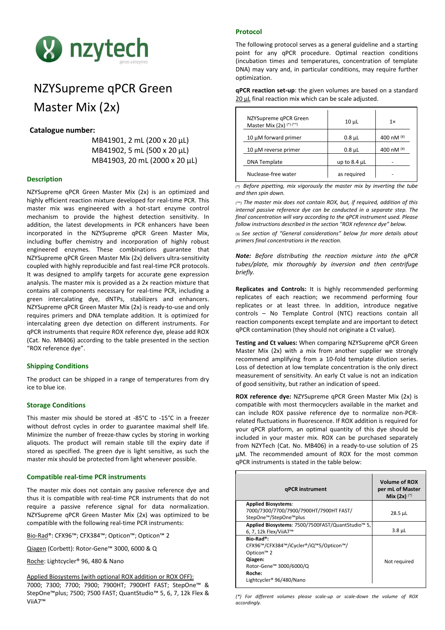

# NZYSupreme qPCR Green Master Mix (2x)

# **Catalogue number:**

MB41901, 2 mL (200 x 20 μL) MB41902, 5 mL (500 x 20 μL) MB41903, 20 mL (2000 x 20 μL)

# **Description**

NZYSupreme qPCR Green Master Mix (2x) is an optimized and highly efficient reaction mixture developed for real-time PCR. This master mix was engineered with a hot-start enzyme control mechanism to provide the highest detection sensitivity. In addition, the latest developments in PCR enhancers have been incorporated in the NZYSupreme qPCR Green Master Mix, including buffer chemistry and incorporation of highly robust engineered enzymes. These combinations guarantee that NZYSupreme qPCR Green Master Mix (2x) delivers ultra-sensitivity coupled with highly reproducible and fast real-time PCR protocols. It was designed to amplify targets for accurate gene expression analysis. The master mix is provided as a 2x reaction mixture that contains all components necessary for real-time PCR, including a green intercalating dye, dNTPs, stabilizers and enhancers. NZYSupreme qPCR Green Master Mix (2x) is ready-to-use and only requires primers and DNA template addition. It is optimized for intercalating green dye detection on different instruments. For qPCR instruments that require ROX reference dye, please add ROX (Cat. No. MB406) according to the table presented in the section "ROX reference dye".

## **Shipping Conditions**

The product can be shipped in a range of temperatures from dry ice to blue ice.

## **Storage Conditions**

This master mix should be stored at -85°C to -15°C in a freezer without defrost cycles in order to guarantee maximal shelf life. Minimize the number of freeze-thaw cycles by storing in working aliquots. The product will remain stable till the expiry date if stored as specified. The green dye is light sensitive, as such the master mix should be protected from light whenever possible.

## **Compatible real-time PCR instruments**

The master mix does not contain any passive reference dye and thus it is compatible with real-time PCR instruments that do not require a passive reference signal for data normalization. NZYSupreme qPCR Green Master Mix (2x) was optimized to be compatible with the following real-time PCR instruments:

Bio-Rad®: CFX96™; CFX384™; Opticon™; Opticon™ 2

Qiagen (Corbett): Rotor-Gene™ 3000, 6000 & Q

Roche: Lightcycler® 96, 480 & Nano

### Applied Biosystems (with optional ROX addition or ROX OFF):

7000; 7300; 7700; 7900; 7900HT; 7900HT FAST; StepOne™ & StepOne™plus; 7500; 7500 FAST; QuantStudio™ 5, 6, 7, 12k Flex & ViiA7™

# **Protocol**

The following protocol serves as a general guideline and a starting point for any qPCR procedure. Optimal reaction conditions (incubation times and temperatures, concentration of template DNA) may vary and, in particular conditions, may require further optimization.

**qPCR reaction set-up**: the given volumes are based on a standard 20 µL final reaction mix which can be scale adjusted.

| NZYSupreme gPCR Green<br>Master Mix (2x) (*) (**) | $10 \mu L$        | 1x           |
|---------------------------------------------------|-------------------|--------------|
| 10 $\mu$ M forward primer                         | $0.8 \mu L$       | 400 nM $(4)$ |
| 10 µM reverse primer                              | $0.8 \mu L$       | 400 nM $(4)$ |
| <b>DNA Template</b>                               | up to $8.4 \mu L$ |              |
| Nuclease-free water                               | as reguired       |              |

*(\*) Before pipetting, mix vigorously the master mix by inverting the tube and then spin down.*

*(\*\*) The master mix does not contain ROX, but, if required, addition of this internal passive reference dye can be conducted in a separate step. The final concentration will vary according to the qPCR instrument used. Please follow instructions described in the section "ROX reference dye" below.*

(¥) *See section of "General considerations" below for more details about primers final concentrations in the reaction.*

*Note: Before distributing the reaction mixture into the qPCR tubes/plate, mix thoroughly by inversion and then centrifuge briefly.* 

**Replicates and Controls:** It is highly recommended performing replicates of each reaction; we recommend performing four replicates or at least three. In addition, introduce negative controls – No Template Control (NTC) reactions contain all reaction components except template and are important to detect qPCR contamination (they should not originate a Ct value).

**Testing and Ct values:** When comparing NZYSupreme qPCR Green Master Mix (2x) with a mix from another supplier we strongly recommend amplifying from a 10-fold template dilution series. Loss of detection at low template concentration is the only direct measurement of sensitivity. An early Ct value is not an indication of good sensitivity, but rather an indication of speed.

**ROX reference dye:** NZYSupreme qPCR Green Master Mix (2x) is compatible with most thermocyclers available in the market and can include ROX passive reference dye to normalize non-PCRrelated fluctuations in fluorescence. If ROX addition is required for your qPCR platform, an optimal quantity of this dye should be included in your master mix. ROX can be purchased separately from NZYTech (Cat. No. MB406) in a ready-to-use solution of 25 µM. The recommended amount of ROX for the most common qPCR instruments is stated in the table below:

| <b>gPCR</b> instrument                                                                                                                                                | <b>Volume of ROX</b><br>per mL of Master<br>Mix $(2x)$ $(*)$ |
|-----------------------------------------------------------------------------------------------------------------------------------------------------------------------|--------------------------------------------------------------|
| <b>Applied Biosystems:</b><br>7000/7300/7700/7900/7900HT/7900HT FAST/                                                                                                 | $28.5$ µL                                                    |
| StepOne <sup>™</sup> /StepOne™plus<br>Applied Biosystems: 7500/7500FAST/QuantStudio™ 5,<br>6, 7, 12k Flex/ViiA7™                                                      | $3.8 \mu L$                                                  |
| Bio-Rad®:<br>CFX96™/CFX384™/iCycler®/iQ™5/Opticon™/<br>Opticon <sup>™</sup> 2<br>Qiagen:<br>Rotor-Gene™ 3000/6000/Q<br>Roche:<br>Lightcycler <sup>®</sup> 96/480/Nano | Not required                                                 |

*(\*) For different volumes please scale-up or scale-down the volume of ROX accordingly.*